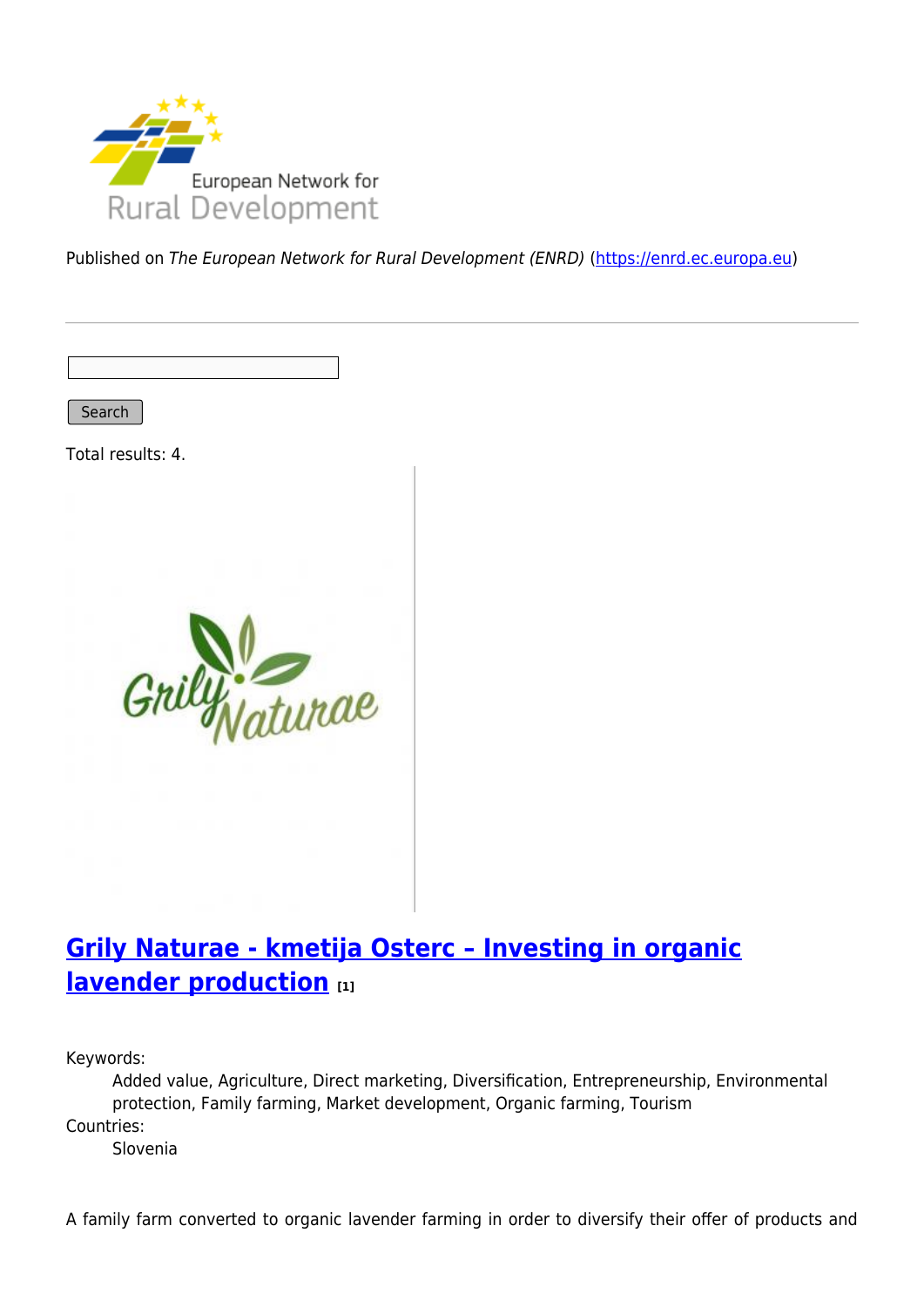

Published on The European Network for Rural Development (ENRD) [\(https://enrd.ec.europa.eu](https://enrd.ec.europa.eu))

Search

Total results: 4.



## **[Grily Naturae - kmetija Osterc – Investing in organic](https://enrd.ec.europa.eu/projects-practice/grily-naturae-kmetija-osterc-investing-organic-lavender-production_en) [lavender production](https://enrd.ec.europa.eu/projects-practice/grily-naturae-kmetija-osterc-investing-organic-lavender-production_en) [1]**

Keywords:

Added value, Agriculture, Direct marketing, Diversification, Entrepreneurship, Environmental protection, Family farming, Market development, Organic farming, Tourism Countries:

Slovenia

A family farm converted to organic lavender farming in order to diversify their offer of products and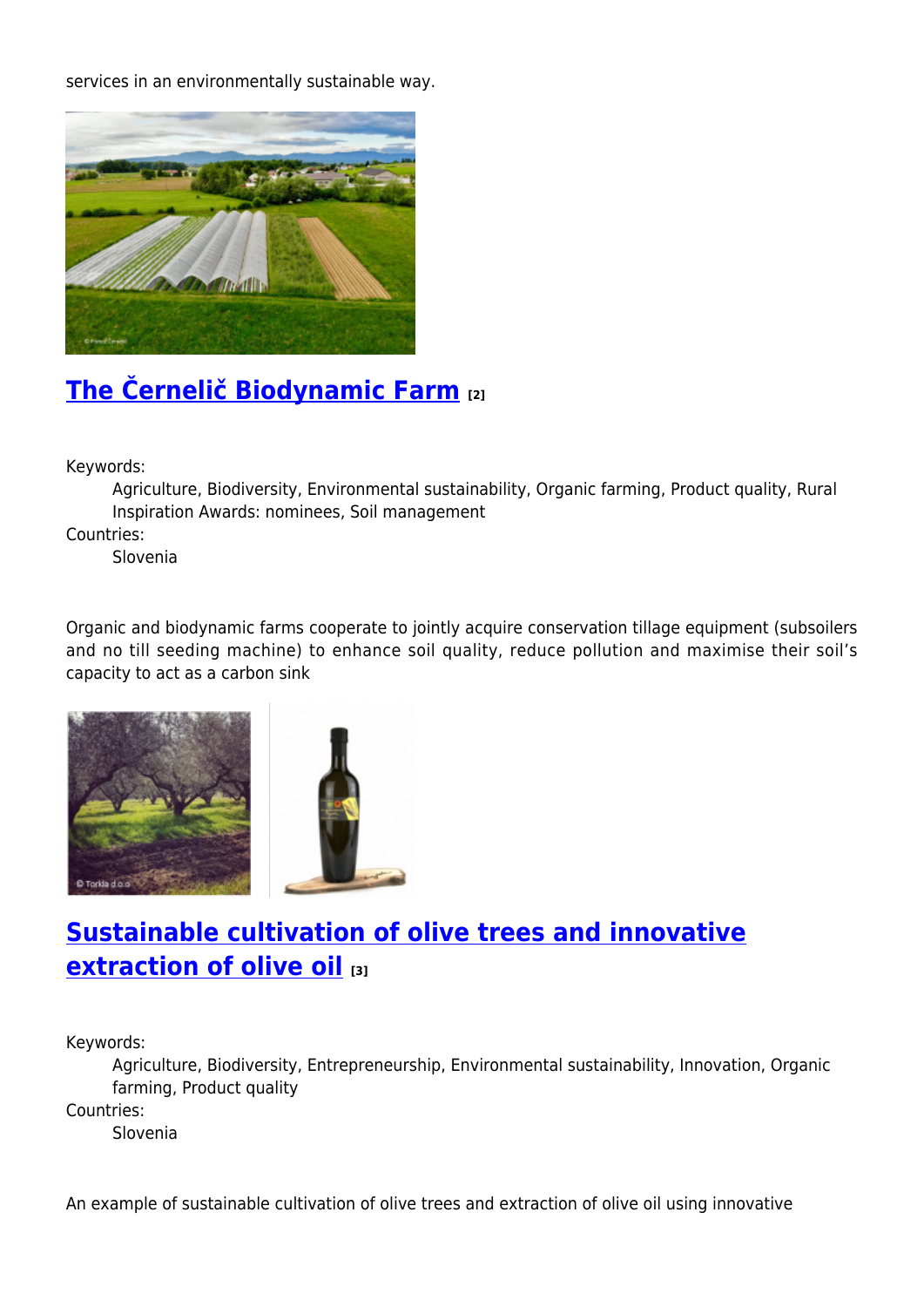services in an environmentally sustainable way.



# **[The Černelič Biodynamic Farm](https://enrd.ec.europa.eu/projects-practice/cernelic-biodynamic-farm-0_en) [2]**

Keywords:

Agriculture, Biodiversity, Environmental sustainability, Organic farming, Product quality, Rural Inspiration Awards: nominees, Soil management

Countries:

Slovenia

Organic and biodynamic farms cooperate to jointly acquire conservation tillage equipment (subsoilers and no till seeding machine) to enhance soil quality, reduce pollution and maximise their soil's capacity to act as a carbon sink





## **[Sustainable cultivation of olive trees and innovative](https://enrd.ec.europa.eu/projects-practice/sustainable-cultivation-olive-trees-and-innovative-extraction-olive-oil_en) [extraction of olive oil](https://enrd.ec.europa.eu/projects-practice/sustainable-cultivation-olive-trees-and-innovative-extraction-olive-oil_en) [3]**

Keywords:

Agriculture, Biodiversity, Entrepreneurship, Environmental sustainability, Innovation, Organic farming, Product quality

Countries:

Slovenia

An example of sustainable cultivation of olive trees and extraction of olive oil using innovative